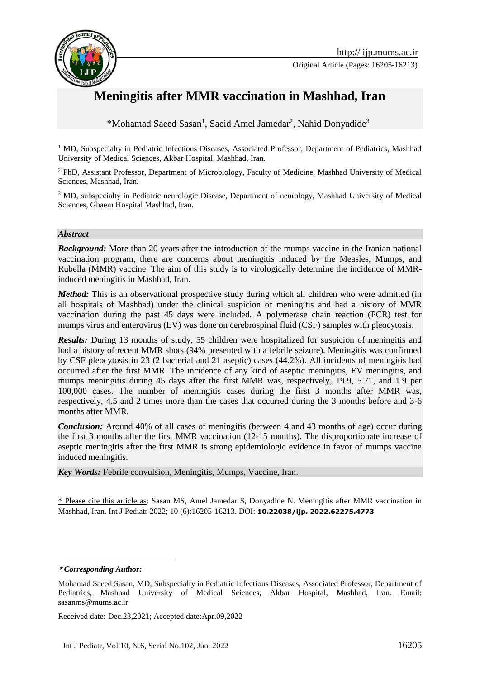

Original Article (Pages: 16205-16213)



# **Meningitis after MMR vaccination in Mashhad, Iran**

\*Mohamad Saeed Sasan<sup>1</sup>, Saeid Amel Jamedar<sup>2</sup>, Nahid Donyadide<sup>3</sup>

<sup>1</sup> MD, Subspecialty in Pediatric Infectious Diseases, Associated Professor, Department of Pediatrics, Mashhad University of Medical Sciences, Akbar Hospital, Mashhad, Iran.

<sup>2</sup> PhD, Assistant Professor, Department of Microbiology, Faculty of Medicine, Mashhad University of Medical Sciences, Mashhad, Iran.

<sup>3</sup> MD, subspecialty in Pediatric neurologic Disease, Department of neurology, Mashhad University of Medical Sciences, Ghaem Hospital Mashhad, Iran.

#### *Abstract*

**Background:** More than 20 years after the introduction of the mumps vaccine in the Iranian national vaccination program, there are concerns about meningitis induced by the Measles, Mumps, and Rubella (MMR) vaccine. The aim of this study is to virologically determine the incidence of MMRinduced meningitis in Mashhad, Iran.

*Method:* This is an observational prospective study during which all children who were admitted (in all hospitals of Mashhad) under the clinical suspicion of meningitis and had a history of MMR vaccination during the past 45 days were included. A polymerase chain reaction (PCR) test for mumps virus and enterovirus (EV) was done on cerebrospinal fluid (CSF) samples with pleocytosis.

*Results:* During 13 months of study, 55 children were hospitalized for suspicion of meningitis and had a history of recent MMR shots (94% presented with a febrile seizure). Meningitis was confirmed by CSF pleocytosis in 23 (2 bacterial and 21 aseptic) cases (44.2%). All incidents of meningitis had occurred after the first MMR. The incidence of any kind of aseptic meningitis, EV meningitis, and mumps meningitis during 45 days after the first MMR was, respectively, 19.9, 5.71, and 1.9 per 100,000 cases. The number of meningitis cases during the first 3 months after MMR was, respectively, 4.5 and 2 times more than the cases that occurred during the 3 months before and 3-6 months after MMR.

*Conclusion:* Around 40% of all cases of meningitis (between 4 and 43 months of age) occur during the first 3 months after the first MMR vaccination (12-15 months). The disproportionate increase of aseptic meningitis after the first MMR is strong epidemiologic evidence in favor of mumps vaccine induced meningitis.

*Key Words:* Febrile convulsion, Meningitis, Mumps, Vaccine, Iran.

\* Please cite this article as: Sasan MS, Amel Jamedar S, Donyadide N. Meningitis after MMR vaccination in Mashhad, Iran. Int J Pediatr 2022; 10 (6):16205-16213. DOI: **10.22038/ijp. 2022.62275.4773**

<u>.</u>

Received date: Dec.23,2021; Accepted date:Apr.09,2022

**<sup>\*</sup>** *Corresponding Author:*

Mohamad Saeed Sasan, MD, Subspecialty in Pediatric Infectious Diseases, Associated Professor, Department of Pediatrics, Mashhad University of Medical Sciences, Akbar Hospital, Mashhad, Iran. Email: sasanms@mums.ac.ir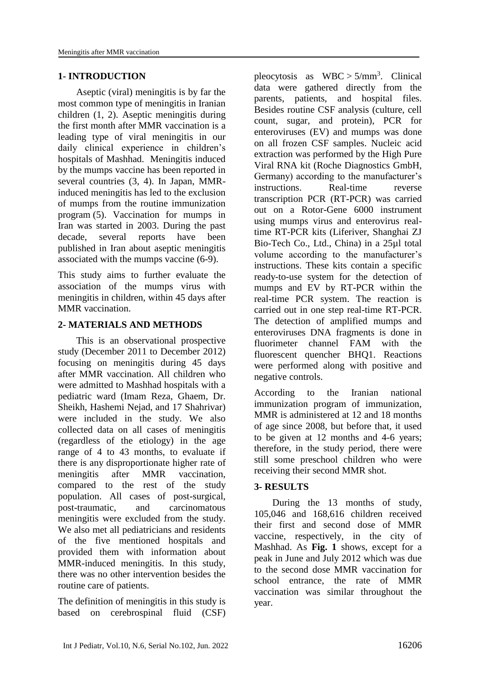#### **1- INTRODUCTION**

Aseptic (viral) meningitis is by far the most common type of meningitis in Iranian children [\(1,](#page-6-0) [2\)](#page-6-0). Aseptic meningitis during the first month after MMR vaccination is a leading type of viral meningitis in our daily clinical experience in children's hospitals of Mashhad. Meningitis induced by the mumps vaccine has been reported in several countries [\(3,](#page-7-0) [4\)](#page-7-1). In Japan, MMRinduced meningitis has led to the exclusion of mumps from the routine immunization program [\(5\)](#page-7-2). Vaccination for mumps in Iran was started in 2003. During the past decade, several reports have been published in Iran about aseptic meningitis associated with the mumps vaccine [\(6-9\)](#page-7-3).

This study aims to further evaluate the association of the mumps virus with meningitis in children, within 45 days after MMR vaccination.

### **2- MATERIALS AND METHODS**

This is an observational prospective study (December 2011 to December 2012) focusing on meningitis during 45 days after MMR vaccination. All children who were admitted to Mashhad hospitals with a pediatric ward (Imam Reza, Ghaem, Dr. Sheikh, Hashemi Nejad, and 17 Shahrivar) were included in the study. We also collected data on all cases of meningitis (regardless of the etiology) in the age range of 4 to 43 months, to evaluate if there is any disproportionate higher rate of meningitis after MMR vaccination, compared to the rest of the study population. All cases of post-surgical, post-traumatic, and carcinomatous meningitis were excluded from the study. We also met all pediatricians and residents of the five mentioned hospitals and provided them with information about MMR-induced meningitis. In this study, there was no other intervention besides the routine care of patients.

The definition of meningitis in this study is based on cerebrospinal fluid (CSF)

pleocytosis as  $WBC > 5/mm^3$ . Clinical data were gathered directly from the parents, patients, and hospital files. Besides routine CSF analysis (culture, cell count, sugar, and protein), PCR for enteroviruses (EV) and mumps was done on all frozen CSF samples. Nucleic acid extraction was performed by the High Pure Viral RNA kit (Roche Diagnostics GmbH, Germany) according to the manufacturer's instructions. Real-time reverse transcription PCR (RT-PCR) was carried out on a Rotor-Gene 6000 instrument using mumps virus and enterovirus realtime RT-PCR kits (Liferiver, Shanghai ZJ Bio-Tech Co., Ltd., China) in a 25µl total volume according to the manufacturer's instructions. These kits contain a specific ready-to-use system for the detection of mumps and EV by RT-PCR within the real-time PCR system. The reaction is carried out in one step real-time RT-PCR. The detection of amplified mumps and enteroviruses DNA fragments is done in fluorimeter channel FAM with the fluorescent quencher BHQ1. Reactions were performed along with positive and negative controls.

According to the Iranian national immunization program of immunization, MMR is administered at 12 and 18 months of age since 2008, but before that, it used to be given at 12 months and 4-6 years; therefore, in the study period, there were still some preschool children who were receiving their second MMR shot.

#### **3- RESULTS**

During the 13 months of study, 105,046 and 168,616 children received their first and second dose of MMR vaccine, respectively, in the city of Mashhad. As **Fig. 1** shows, except for a peak in June and July 2012 which was due to the second dose MMR vaccination for school entrance, the rate of MMR vaccination was similar throughout the year.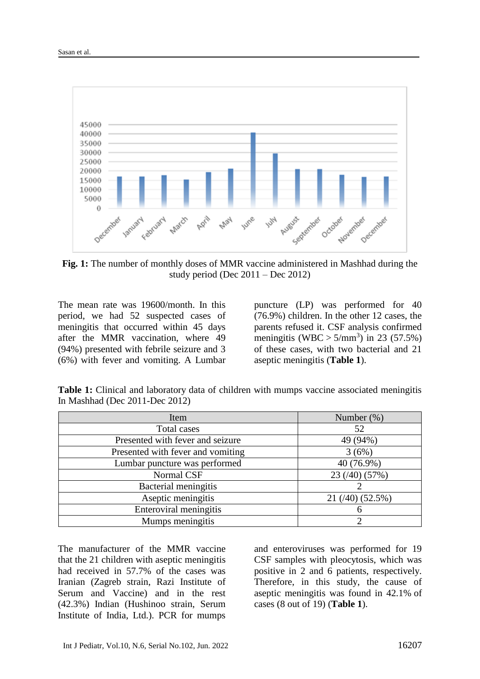

**Fig. 1:** The number of monthly doses of MMR vaccine administered in Mashhad during the study period (Dec  $2011 - Dec 2012$ )

The mean rate was 19600/month. In this period, we had 52 suspected cases of meningitis that occurred within 45 days after the MMR vaccination, where 49 (94%) presented with febrile seizure and 3 (6%) with fever and vomiting. A Lumbar

puncture (LP) was performed for 40 (76.9%) children. In the other 12 cases, the parents refused it. CSF analysis confirmed meningitis (WBC  $> 5/$ mm<sup>3</sup>) in 23 (57.5%) of these cases, with two bacterial and 21 aseptic meningitis (**Table 1**).

| Item                              | Number $(\%)$              |  |
|-----------------------------------|----------------------------|--|
| Total cases                       | 52                         |  |
| Presented with fever and seizure  | 49 (94%)                   |  |
| Presented with fever and vomiting | 3(6%)                      |  |
| Lumbar puncture was performed     | 40 (76.9%)                 |  |
| Normal CSF                        | 23(40)(57%)                |  |
| Bacterial meningitis              |                            |  |
| Aseptic meningitis                | $21 \frac{(40)}{(52.5\%)}$ |  |
| Enteroviral meningitis            |                            |  |
| Mumps meningitis                  |                            |  |

**Table 1:** Clinical and laboratory data of children with mumps vaccine associated meningitis In Mashhad (Dec 2011-Dec 2012)

The manufacturer of the MMR vaccine that the 21 children with aseptic meningitis had received in 57.7% of the cases was Iranian (Zagreb strain, Razi Institute of Serum and Vaccine) and in the rest (42.3%) Indian (Hushinoo strain, Serum Institute of India, Ltd.). PCR for mumps

and enteroviruses was performed for 19 CSF samples with pleocytosis, which was positive in 2 and 6 patients, respectively. Therefore, in this study, the cause of aseptic meningitis was found in 42.1% of cases (8 out of 19) (**Table 1**).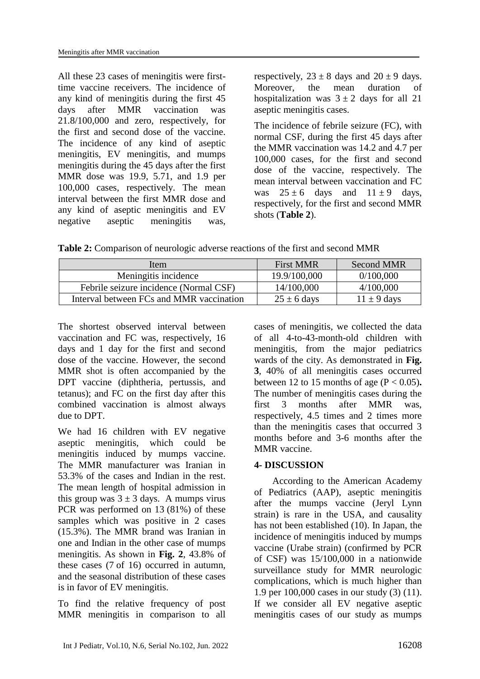All these 23 cases of meningitis were firsttime vaccine receivers. The incidence of any kind of meningitis during the first 45 days after MMR vaccination was 21.8/100,000 and zero, respectively, for the first and second dose of the vaccine. The incidence of any kind of aseptic meningitis, EV meningitis, and mumps meningitis during the 45 days after the first MMR dose was 19.9, 5.71, and 1.9 per 100,000 cases, respectively. The mean interval between the first MMR dose and any kind of aseptic meningitis and EV negative aseptic meningitis was,

respectively,  $23 \pm 8$  days and  $20 \pm 9$  days. Moreover, the mean duration of hospitalization was  $3 \pm 2$  days for all 21 aseptic meningitis cases.

The incidence of febrile seizure (FC), with normal CSF, during the first 45 days after the MMR vaccination was 14.2 and 4.7 per 100,000 cases, for the first and second dose of the vaccine, respectively. The mean interval between vaccination and FC was  $25 \pm 6$  days and  $11 \pm 9$  days. respectively, for the first and second MMR shots (**Table 2**).

**Table 2:** Comparison of neurologic adverse reactions of the first and second MMR

| Item                                     | <b>First MMR</b> | <b>Second MMR</b> |
|------------------------------------------|------------------|-------------------|
| Meningitis incidence                     | 19.9/100,000     | 0/100,000         |
| Febrile seizure incidence (Normal CSF)   | 14/100,000       | 4/100,000         |
| Interval between FCs and MMR vaccination | $25 \pm 6$ days  | $11 \pm 9$ days   |

The shortest observed interval between vaccination and FC was, respectively, 16 days and 1 day for the first and second dose of the vaccine. However, the second MMR shot is often accompanied by the DPT vaccine [\(diphtheria,](https://en.wikipedia.org/wiki/Diphtheria) [pertussis,](https://en.wikipedia.org/wiki/Pertussis) and [tetanus\)](https://en.wikipedia.org/wiki/Tetanus); and FC on the first day after this combined vaccination is almost always due to DPT.

We had 16 children with EV negative aseptic meningitis, which could be meningitis induced by mumps vaccine. The MMR manufacturer was Iranian in 53.3% of the cases and Indian in the rest. The mean length of hospital admission in this group was  $3 \pm 3$  days. A mumps virus PCR was performed on 13 (81%) of these samples which was positive in 2 cases (15.3%). The MMR brand was Iranian in one and Indian in the other case of mumps meningitis. As shown in **Fig. 2**, 43.8% of these cases (7 of 16) occurred in autumn, and the seasonal distribution of these cases is in favor of EV meningitis.

To find the relative frequency of post MMR meningitis in comparison to all

cases of meningitis, we collected the data of all 4-to-43-month-old children with meningitis, from the major pediatrics wards of the city. As demonstrated in **Fig. 3**, 40% of all meningitis cases occurred between 12 to 15 months of age  $(P < 0.05)$ . The number of meningitis cases during the first 3 months after MMR was, respectively, 4.5 times and 2 times more than the meningitis cases that occurred 3 months before and 3-6 months after the MMR vaccine.

# **4- DISCUSSION**

According to the American Academy of Pediatrics (AAP), aseptic meningitis after the mumps vaccine (Jeryl Lynn strain) is rare in the USA, and causality has not been established [\(10\)](#page-7-4). In Japan, the incidence of meningitis induced by mumps vaccine (Urabe strain) (confirmed by PCR of CSF) was 15/100,000 in a nationwide surveillance study for MMR neurologic complications, which is much higher than 1.9 per 100,000 cases in our study (3) [\(11\)](#page-7-5). If we consider all EV negative aseptic meningitis cases of our study as mumps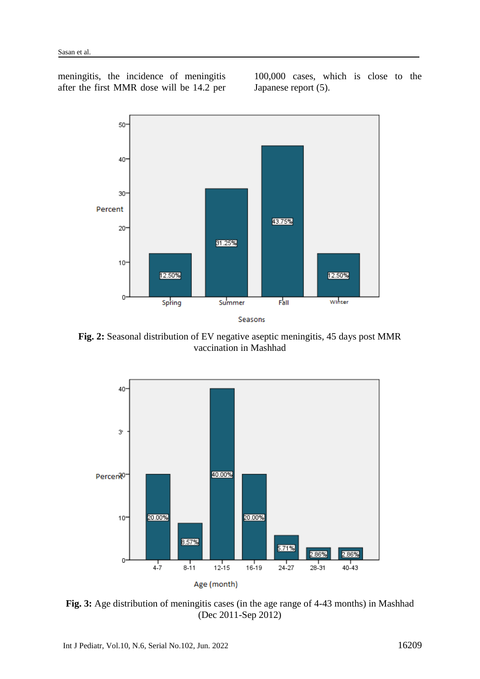meningitis, the incidence of meningitis after the first MMR dose will be 14.2 per

100,000 cases, which is close to the Japanese report [\(5\)](#page-7-2).



**Fig. 2:** Seasonal distribution of EV negative aseptic meningitis, 45 days post MMR vaccination in Mashhad



**Fig. 3:** Age distribution of meningitis cases (in the age range of 4-43 months) in Mashhad (Dec 2011-Sep 2012)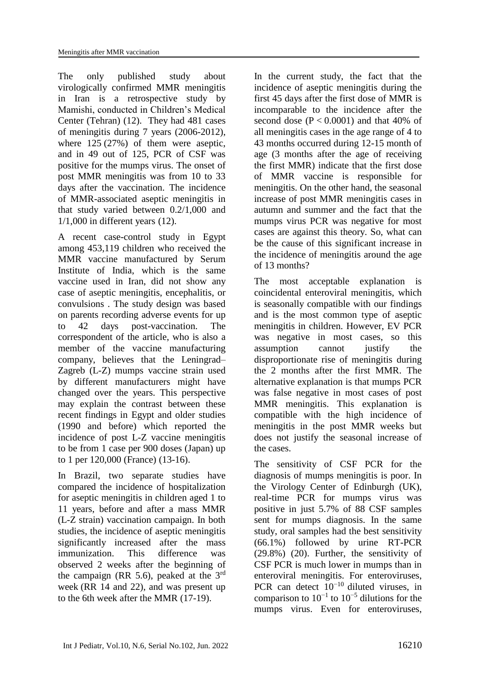The only published study about virologically confirmed MMR meningitis in Iran is a retrospective study by Mamishi, conducted in Children's Medical Center (Tehran) [\(12\)](#page-7-6). They had 481 cases of meningitis during 7 years (2006-2012), where  $125 (27%)$  of them were aseptic, and in 49 out of 125, PCR of CSF was positive for the mumps virus. The onset of post MMR meningitis was from 10 to 33 days after the vaccination. The incidence of MMR-associated aseptic meningitis in that study varied between 0.2/1,000 and 1/1,000 in different years [\(12\)](#page-7-6).

A recent case-control study in Egypt among 453,119 children who received the MMR vaccine manufactured by Serum Institute of India, which is the same vaccine used in Iran, did not show any case of aseptic meningitis, encephalitis, or convulsions . The study design was based on parents recording adverse events for up to 42 days post-vaccination. The correspondent of the article, who is also a member of the vaccine manufacturing company, believes that the Leningrad– Zagreb (L-Z) mumps vaccine strain used by different manufacturers might have changed over the years. This perspective may explain the contrast between these recent findings in Egypt and older studies (1990 and before) which reported the incidence of post L-Z vaccine meningitis to be from 1 case per 900 doses (Japan) up to 1 per 120,000 (France) [\(13-16\)](#page-7-7).

In Brazil, two separate studies have compared the incidence of hospitalization for aseptic meningitis in children aged 1 to 11 years, before and after a mass MMR (L-Z strain) vaccination campaign. In both studies, the incidence of aseptic meningitis significantly increased after the mass immunization. This difference was observed 2 weeks after the beginning of the campaign (RR 5.6), peaked at the  $3<sup>rd</sup>$ week (RR 14 and 22), and was present up to the 6th week after the MMR [\(17-19\)](#page-7-8).

In the current study, the fact that the incidence of aseptic meningitis during the first 45 days after the first dose of MMR is incomparable to the incidence after the second dose  $(P < 0.0001)$  and that 40% of all meningitis cases in the age range of 4 to 43 months occurred during 12-15 month of age (3 months after the age of receiving the first MMR) indicate that the first dose of MMR vaccine is responsible for meningitis. On the other hand, the seasonal increase of post MMR meningitis cases in autumn and summer and the fact that the mumps virus PCR was negative for most cases are against this theory. So, what can be the cause of this significant increase in the incidence of meningitis around the age of 13 months?

The most acceptable explanation is coincidental enteroviral meningitis, which is seasonally compatible with our findings and is the most common type of aseptic meningitis in children. However, EV PCR was negative in most cases, so this assumption cannot justify the disproportionate rise of meningitis during the 2 months after the first MMR. The alternative explanation is that mumps PCR was false negative in most cases of post MMR meningitis. This explanation is compatible with the high incidence of meningitis in the post MMR weeks but does not justify the seasonal increase of the cases.

The sensitivity of CSF PCR for the diagnosis of mumps meningitis is poor. In the Virology Center of Edinburgh (UK), real-time PCR for mumps virus was positive in just 5.7% of 88 CSF samples sent for mumps diagnosis. In the same study, oral samples had the best sensitivity (66.1%) followed by urine RT-PCR (29.8%) [\(20\)](#page-8-0). Further, the sensitivity of CSF PCR is much lower in mumps than in enteroviral meningitis. For enteroviruses, PCR can detect 10−10 diluted viruses, in comparison to  $10^{-1}$  to  $10^{-5}$  dilutions for the mumps virus. Even for enteroviruses,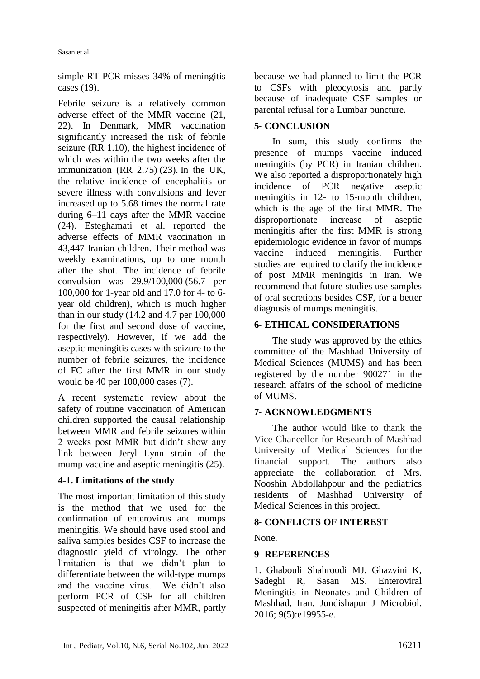simple RT-PCR misses 34% of meningitis cases [\(19\)](#page-7-9).

Febrile seizure is a relatively common adverse effect of the MMR vaccine [\(21,](#page-8-1) [22\)](#page-8-2). In Denmark, MMR vaccination significantly increased the risk of febrile seizure (RR 1.10), the highest incidence of which was within the two weeks after the immunization (RR 2.75) [\(23\)](#page-8-3). In the UK, the relative incidence of encephalitis or severe illness with convulsions and fever increased up to 5.68 times the normal rate during 6–11 days after the MMR vaccine [\(24\)](#page-8-4). Esteghamati et al. reported the adverse effects of MMR vaccination in 43,447 Iranian children. Their method was weekly examinations, up to one month after the shot. The incidence of febrile convulsion was 29.9/100,000 (56.7 per 100,000 for 1-year old and 17.0 for 4- to 6 year old children), which is much higher than in our study (14.2 and 4.7 per 100,000 for the first and second dose of vaccine, respectively). However, if we add the aseptic meningitis cases with seizure to the number of febrile seizures, the incidence of FC after the first MMR in our study would be 40 per 100,000 cases [\(7\)](#page-7-10).

A recent systematic review about the safety of routine vaccination of American children supported the causal relationship between MMR and febrile seizures within 2 weeks post MMR but didn't show any link between Jeryl Lynn strain of the mump vaccine and aseptic meningitis  $(25)$ .

#### **4-1. Limitations of the study**

The most important limitation of this study is the method that we used for the confirmation of enterovirus and mumps meningitis. We should have used stool and saliva samples besides CSF to increase the diagnostic yield of virology. The other limitation is that we didn't plan to differentiate between the wild-type mumps and the vaccine virus. We didn't also perform PCR of CSF for all children suspected of meningitis after MMR, partly because we had planned to limit the PCR to CSFs with pleocytosis and partly because of inadequate CSF samples or parental refusal for a Lumbar puncture.

# **5- CONCLUSION**

In sum, this study confirms the presence of mumps vaccine induced meningitis (by PCR) in Iranian children. We also reported a disproportionately high incidence of PCR negative aseptic meningitis in 12- to 15-month children, which is the age of the first MMR. The disproportionate increase of aseptic meningitis after the first MMR is strong epidemiologic evidence in favor of mumps vaccine induced meningitis. Further studies are required to clarify the incidence of post MMR meningitis in Iran. We recommend that future studies use samples of oral secretions besides CSF, for a better diagnosis of mumps meningitis.

#### **6- ETHICAL CONSIDERATIONS**

The study was approved by the ethics committee of the Mashhad University of Medical Sciences (MUMS) and has been registered by the number 900271 in the research affairs of the school of medicine of MUMS.

#### **7- ACKNOWLEDGMENTS**

The author would like to thank the Vice Chancellor for Research of Mashhad University of Medical Sciences for the financial support. The authors also appreciate the collaboration of Mrs. Nooshin Abdollahpour and the pediatrics residents of Mashhad University of Medical Sciences in this project.

#### **8- CONFLICTS OF INTEREST**

None.

#### **9- REFERENCES**

<span id="page-6-0"></span>1. Ghabouli Shahroodi MJ, Ghazvini K, Sadeghi R, Sasan MS. Enteroviral Meningitis in Neonates and Children of Mashhad, Iran. Jundishapur J Microbiol. 2016; 9(5):e19955-e.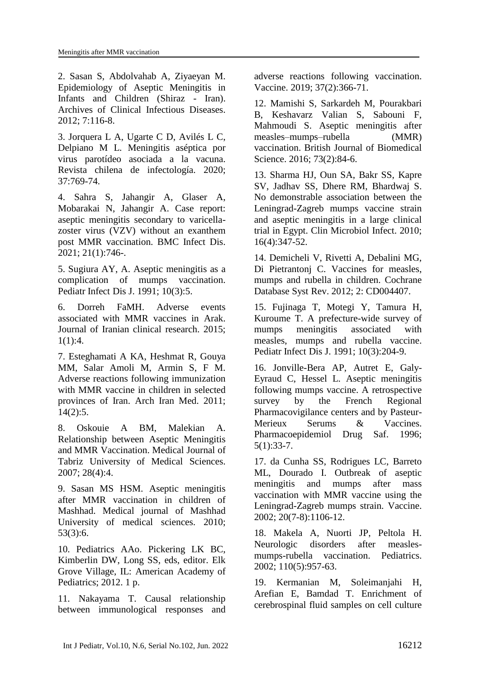2. Sasan S, Abdolvahab A, Ziyaeyan M. Epidemiology of Aseptic Meningitis in Infants and Children (Shiraz - Iran). Archives of Clinical Infectious Diseases. 2012; 7:116-8.

<span id="page-7-0"></span>3. Jorquera L A, Ugarte C D, Avilés L C, Delpiano M L. Meningitis aséptica por virus parotídeo asociada a la vacuna. Revista chilena de infectología. 2020; 37:769-74.

<span id="page-7-1"></span>4. Sahra S, Jahangir A, Glaser A, Mobarakai N, Jahangir A. Case report: aseptic meningitis secondary to varicellazoster virus (VZV) without an exanthem post MMR vaccination. BMC Infect Dis. 2021; 21(1):746-.

<span id="page-7-2"></span>5. Sugiura AY, A. Aseptic meningitis as a complication of mumps vaccination. Pediatr Infect Dis J. 1991; 10(3):5.

<span id="page-7-3"></span>6. Dorreh FaMH. Adverse events associated with MMR vaccines in Arak. Journal of Iranian clinical research. 2015; 1(1):4.

<span id="page-7-10"></span>7. Esteghamati A KA, Heshmat R, Gouya MM, Salar Amoli M, Armin S, F M. Adverse reactions following immunization with MMR vaccine in children in selected provinces of Iran. Arch Iran Med. 2011; 14(2):5.

8. Oskouie A BM, Malekian A. Relationship between Aseptic Meningitis and MMR Vaccination. Medical Journal of Tabriz University of Medical Sciences. 2007; 28(4):4.

9. Sasan MS HSM. Aseptic meningitis after MMR vaccination in children of Mashhad. Medical journal of Mashhad University of medical sciences. 2010; 53(3):6.

<span id="page-7-4"></span>10. Pediatrics AAo. Pickering LK BC, Kimberlin DW, Long SS, eds, editor. Elk Grove Village, IL: American Academy of Pediatrics; 2012. 1 p.

<span id="page-7-5"></span>11. Nakayama T. Causal relationship between immunological responses and adverse reactions following vaccination. Vaccine. 2019; 37(2):366-71.

<span id="page-7-6"></span>12. Mamishi S, Sarkardeh M, Pourakbari B, Keshavarz Valian S, Sabouni F, Mahmoudi S. Aseptic meningitis after measles–mumps–rubella (MMR) vaccination. British Journal of Biomedical Science. 2016; 73(2):84-6.

<span id="page-7-7"></span>13. Sharma HJ, Oun SA, Bakr SS, Kapre SV, Jadhav SS, Dhere RM, Bhardwaj S. No demonstrable association between the Leningrad-Zagreb mumps vaccine strain and aseptic meningitis in a large clinical trial in Egypt. Clin Microbiol Infect. 2010; 16(4):347-52.

14. Demicheli V, Rivetti A, Debalini MG, Di Pietrantonj C. Vaccines for measles, mumps and rubella in children. Cochrane Database Syst Rev. 2012; 2: CD004407.

15. Fujinaga T, Motegi Y, Tamura H, Kuroume T. A prefecture-wide survey of mumps meningitis associated with measles, mumps and rubella vaccine. Pediatr Infect Dis J. 1991; 10(3):204-9.

16. Jonville-Bera AP, Autret E, Galy-Eyraud C, Hessel L. Aseptic meningitis following mumps vaccine. A retrospective survey by the French Regional Pharmacovigilance centers and by Pasteur-Merieux Serums & Vaccines. Pharmacoepidemiol Drug Saf. 1996; 5(1):33-7.

<span id="page-7-8"></span>17. da Cunha SS, Rodrigues LC, Barreto ML, Dourado I. Outbreak of aseptic meningitis and mumps after mass vaccination with MMR vaccine using the Leningrad-Zagreb mumps strain. Vaccine. 2002; 20(7-8):1106-12.

18. Makela A, Nuorti JP, Peltola H. Neurologic disorders after measlesmumps-rubella vaccination. Pediatrics. 2002; 110(5):957-63.

<span id="page-7-9"></span>19. Kermanian M, Soleimanjahi H, Arefian E, Bamdad T. Enrichment of cerebrospinal fluid samples on cell culture